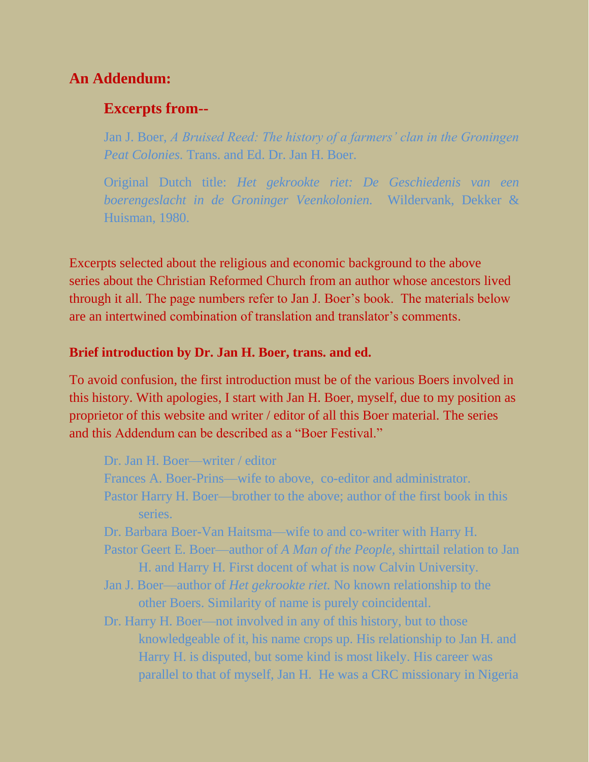# **An Addendum:**

# **Excerpts from--**

Jan J. Boer, *A Bruised Reed: The history of a farmers' clan in the Groningen Peat Colonies.* Trans. and Ed. Dr. Jan H. Boer.

Original Dutch title: *Het gekrookte riet: De Geschiedenis van een boerengeslacht in de Groninger Veenkolonien.* Wildervank, Dekker & Huisman, 1980.

Excerpts selected about the religious and economic background to the above series about the Christian Reformed Church from an author whose ancestors lived through it all. The page numbers refer to Jan J. Boer's book. The materials below are an intertwined combination of translation and translator's comments.

#### **Brief introduction by Dr. Jan H. Boer, trans. and ed.**

To avoid confusion, the first introduction must be of the various Boers involved in this history. With apologies, I start with Jan H. Boer, myself, due to my position as proprietor of this website and writer / editor of all this Boer material. The series and this Addendum can be described as a "Boer Festival."

Dr. Jan H. Boer—writer / editor

- Frances A. Boer-Prins—wife to above, co-editor and administrator.
- Pastor Harry H. Boer—brother to the above; author of the first book in this series.
- Dr. Barbara Boer-Van Haitsma—wife to and co-writer with Harry H.
- Pastor Geert E. Boer—author of *A Man of the People,* shirttail relation to Jan H. and Harry H. First docent of what is now Calvin University.
- Jan J. Boer—author of *Het gekrookte riet.* No known relationship to the other Boers. Similarity of name is purely coincidental.
- Dr. Harry H. Boer—not involved in any of this history, but to those knowledgeable of it, his name crops up. His relationship to Jan H. and Harry H. is disputed, but some kind is most likely. His career was parallel to that of myself, Jan H. He was a CRC missionary in Nigeria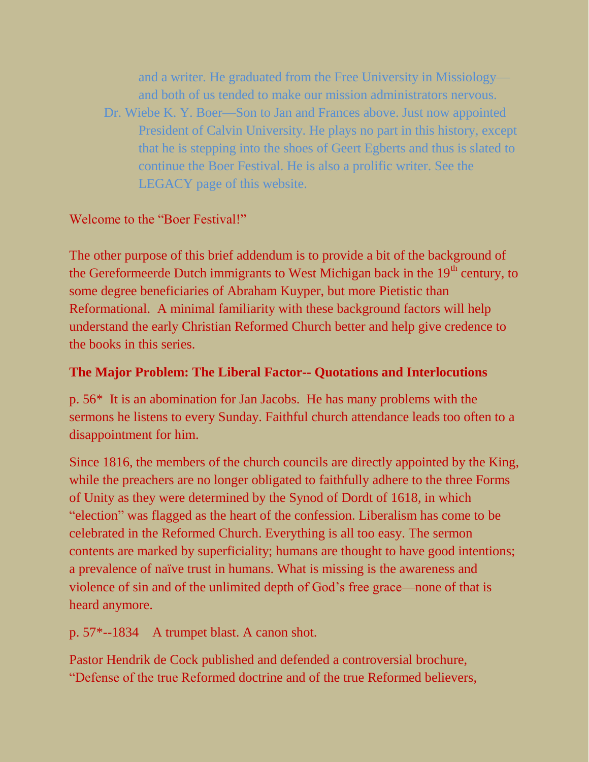and a writer. He graduated from the Free University in Missiology and both of us tended to make our mission administrators nervous. Dr. Wiebe K. Y. Boer—Son to Jan and Frances above. Just now appointed President of Calvin University. He plays no part in this history, except that he is stepping into the shoes of Geert Egberts and thus is slated to continue the Boer Festival. He is also a prolific writer. See the LEGACY page of this website.

# Welcome to the "Boer Festival!"

The other purpose of this brief addendum is to provide a bit of the background of the Gereformeerde Dutch immigrants to West Michigan back in the 19<sup>th</sup> century, to some degree beneficiaries of Abraham Kuyper, but more Pietistic than Reformational. A minimal familiarity with these background factors will help understand the early Christian Reformed Church better and help give credence to the books in this series.

# **The Major Problem: The Liberal Factor-- Quotations and Interlocutions**

p. 56\* It is an abomination for Jan Jacobs. He has many problems with the sermons he listens to every Sunday. Faithful church attendance leads too often to a disappointment for him.

Since 1816, the members of the church councils are directly appointed by the King, while the preachers are no longer obligated to faithfully adhere to the three Forms of Unity as they were determined by the Synod of Dordt of 1618, in which "election" was flagged as the heart of the confession. Liberalism has come to be celebrated in the Reformed Church. Everything is all too easy. The sermon contents are marked by superficiality; humans are thought to have good intentions; a prevalence of naïve trust in humans. What is missing is the awareness and violence of sin and of the unlimited depth of God's free grace—none of that is heard anymore.

p. 57\*--1834 A trumpet blast. A canon shot.

Pastor Hendrik de Cock published and defended a controversial brochure, "Defense of the true Reformed doctrine and of the true Reformed believers,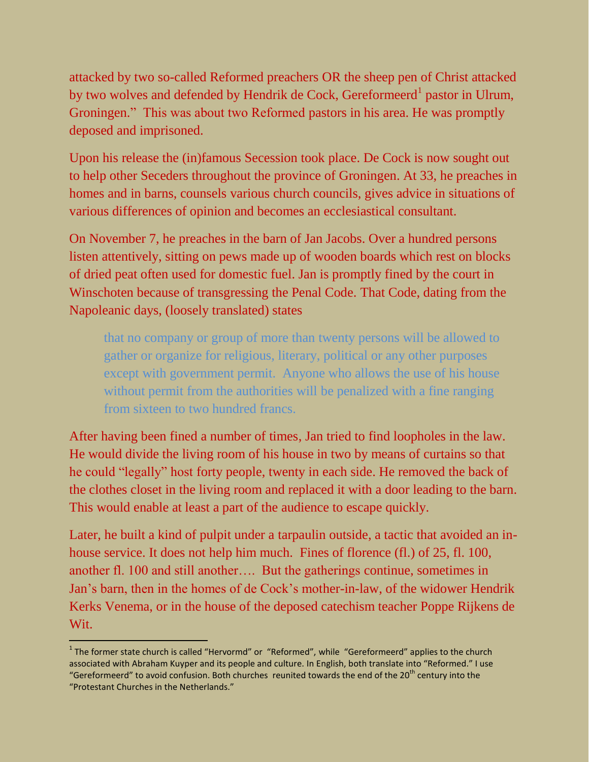attacked by two so-called Reformed preachers OR the sheep pen of Christ attacked by two wolves and defended by Hendrik de Cock, Gereformeerd<sup>1</sup> pastor in Ulrum, Groningen." This was about two Reformed pastors in his area. He was promptly deposed and imprisoned.

Upon his release the (in)famous Secession took place. De Cock is now sought out to help other Seceders throughout the province of Groningen. At 33, he preaches in homes and in barns, counsels various church councils, gives advice in situations of various differences of opinion and becomes an ecclesiastical consultant.

On November 7, he preaches in the barn of Jan Jacobs. Over a hundred persons listen attentively, sitting on pews made up of wooden boards which rest on blocks of dried peat often used for domestic fuel. Jan is promptly fined by the court in Winschoten because of transgressing the Penal Code. That Code, dating from the Napoleanic days, (loosely translated) states

that no company or group of more than twenty persons will be allowed to gather or organize for religious, literary, political or any other purposes except with government permit. Anyone who allows the use of his house without permit from the authorities will be penalized with a fine ranging from sixteen to two hundred francs.

After having been fined a number of times, Jan tried to find loopholes in the law. He would divide the living room of his house in two by means of curtains so that he could "legally" host forty people, twenty in each side. He removed the back of the clothes closet in the living room and replaced it with a door leading to the barn. This would enable at least a part of the audience to escape quickly.

Later, he built a kind of pulpit under a tarpaulin outside, a tactic that avoided an inhouse service. It does not help him much. Fines of florence (fl.) of 25, fl. 100, another fl. 100 and still another…. But the gatherings continue, sometimes in Jan's barn, then in the homes of de Cock's mother-in-law, of the widower Hendrik Kerks Venema, or in the house of the deposed catechism teacher Poppe Rijkens de Wit.

 $\frac{1}{2}$ 

 $<sup>1</sup>$  The former state church is called "Hervormd" or "Reformed", while "Gereformeerd" applies to the church</sup> associated with Abraham Kuyper and its people and culture. In English, both translate into "Reformed." I use "Gereformeerd" to avoid confusion. Both churches reunited towards the end of the 20<sup>th</sup> century into the "Protestant Churches in the Netherlands."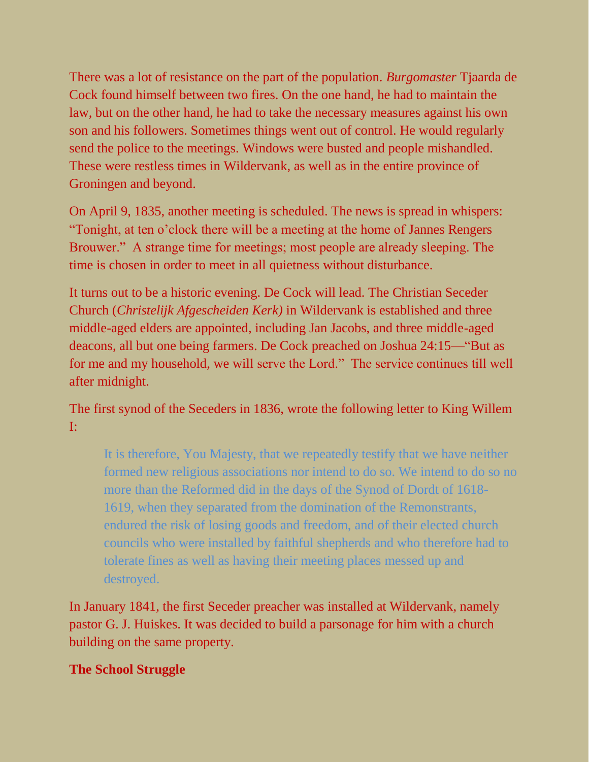There was a lot of resistance on the part of the population. *Burgomaster* Tjaarda de Cock found himself between two fires. On the one hand, he had to maintain the law, but on the other hand, he had to take the necessary measures against his own son and his followers. Sometimes things went out of control. He would regularly send the police to the meetings. Windows were busted and people mishandled. These were restless times in Wildervank, as well as in the entire province of Groningen and beyond.

On April 9, 1835, another meeting is scheduled. The news is spread in whispers: "Tonight, at ten o'clock there will be a meeting at the home of Jannes Rengers Brouwer." A strange time for meetings; most people are already sleeping. The time is chosen in order to meet in all quietness without disturbance.

It turns out to be a historic evening. De Cock will lead. The Christian Seceder Church (*Christelijk Afgescheiden Kerk)* in Wildervank is established and three middle-aged elders are appointed, including Jan Jacobs, and three middle-aged deacons, all but one being farmers. De Cock preached on Joshua 24:15—"But as for me and my household, we will serve the Lord." The service continues till well after midnight.

The first synod of the Seceders in 1836, wrote the following letter to King Willem I:

It is therefore, You Majesty, that we repeatedly testify that we have neither formed new religious associations nor intend to do so. We intend to do so no more than the Reformed did in the days of the Synod of Dordt of 1618- 1619, when they separated from the domination of the Remonstrants, endured the risk of losing goods and freedom, and of their elected church councils who were installed by faithful shepherds and who therefore had to tolerate fines as well as having their meeting places messed up and destroyed.

In January 1841, the first Seceder preacher was installed at Wildervank, namely pastor G. J. Huiskes. It was decided to build a parsonage for him with a church building on the same property.

### **The School Struggle**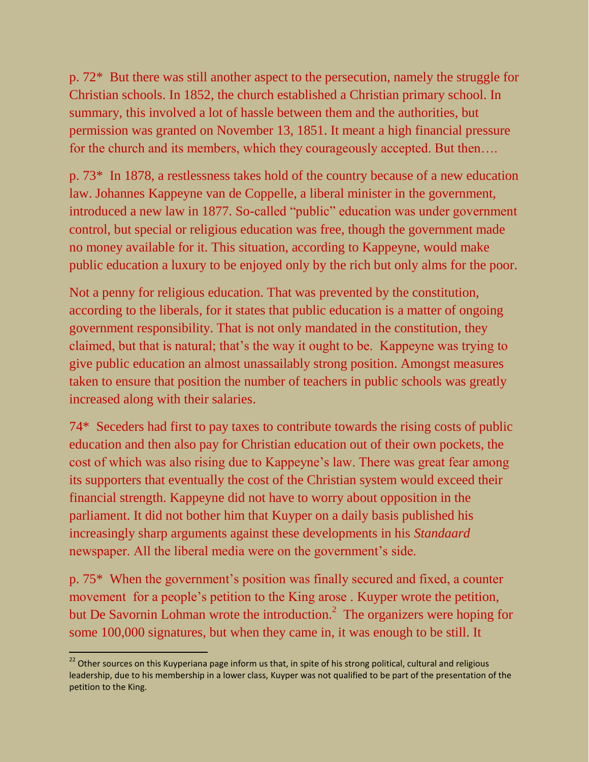p. 72\* But there was still another aspect to the persecution, namely the struggle for Christian schools. In 1852, the church established a Christian primary school. In summary, this involved a lot of hassle between them and the authorities, but permission was granted on November 13, 1851. It meant a high financial pressure for the church and its members, which they courageously accepted. But then….

p. 73\* In 1878, a restlessness takes hold of the country because of a new education law. Johannes Kappeyne van de Coppelle, a liberal minister in the government, introduced a new law in 1877. So-called "public" education was under government control, but special or religious education was free, though the government made no money available for it. This situation, according to Kappeyne, would make public education a luxury to be enjoyed only by the rich but only alms for the poor.

Not a penny for religious education. That was prevented by the constitution, according to the liberals, for it states that public education is a matter of ongoing government responsibility. That is not only mandated in the constitution, they claimed, but that is natural; that's the way it ought to be. Kappeyne was trying to give public education an almost unassailably strong position. Amongst measures taken to ensure that position the number of teachers in public schools was greatly increased along with their salaries.

74\* Seceders had first to pay taxes to contribute towards the rising costs of public education and then also pay for Christian education out of their own pockets, the cost of which was also rising due to Kappeyne's law. There was great fear among its supporters that eventually the cost of the Christian system would exceed their financial strength. Kappeyne did not have to worry about opposition in the parliament. It did not bother him that Kuyper on a daily basis published his increasingly sharp arguments against these developments in his *Standaard* newspaper. All the liberal media were on the government's side.

p. 75\* When the government's position was finally secured and fixed, a counter movement for a people's petition to the King arose . Kuyper wrote the petition, but De Savornin Lohman wrote the introduction.<sup>2</sup> The organizers were hoping for some 100,000 signatures, but when they came in, it was enough to be still. It

<sup>&</sup>lt;u>mand and the merrous consections and the merrous consections</u> and the strong political, cultural and religious and the strong political, cultural and religious and the strong political, cultural and religious and the stro leadership, due to his membership in a lower class, Kuyper was not qualified to be part of the presentation of the petition to the King.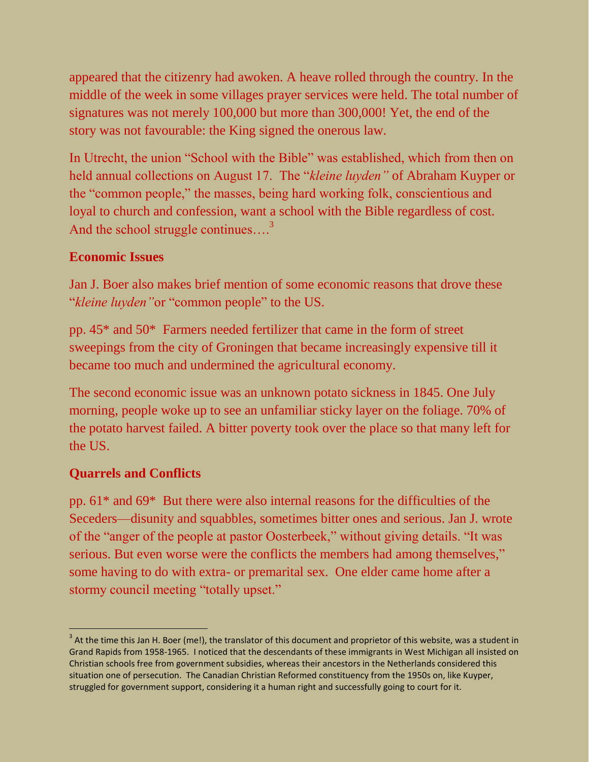appeared that the citizenry had awoken. A heave rolled through the country. In the middle of the week in some villages prayer services were held. The total number of signatures was not merely 100,000 but more than 300,000! Yet, the end of the story was not favourable: the King signed the onerous law.

In Utrecht, the union "School with the Bible" was established, which from then on held annual collections on August 17. The "*kleine luyden"* of Abraham Kuyper or the "common people," the masses, being hard working folk, conscientious and loyal to church and confession, want a school with the Bible regardless of cost. And the school struggle continues....<sup>3</sup>

### **Economic Issues**

Jan J. Boer also makes brief mention of some economic reasons that drove these "*kleine luyden"*or "common people" to the US.

pp. 45\* and 50\* Farmers needed fertilizer that came in the form of street sweepings from the city of Groningen that became increasingly expensive till it became too much and undermined the agricultural economy.

The second economic issue was an unknown potato sickness in 1845. One July morning, people woke up to see an unfamiliar sticky layer on the foliage. 70% of the potato harvest failed. A bitter poverty took over the place so that many left for the US.

### **Quarrels and Conflicts**

pp. 61\* and 69\* But there were also internal reasons for the difficulties of the Seceders—disunity and squabbles, sometimes bitter ones and serious. Jan J. wrote of the "anger of the people at pastor Oosterbeek," without giving details. "It was serious. But even worse were the conflicts the members had among themselves," some having to do with extra- or premarital sex. One elder came home after a stormy council meeting "totally upset."

  $3$  At the time this Jan H. Boer (me!), the translator of this document and proprietor of this website, was a student in Grand Rapids from 1958-1965. I noticed that the descendants of these immigrants in West Michigan all insisted on Christian schools free from government subsidies, whereas their ancestors in the Netherlands considered this situation one of persecution. The Canadian Christian Reformed constituency from the 1950s on, like Kuyper, struggled for government support, considering it a human right and successfully going to court for it.